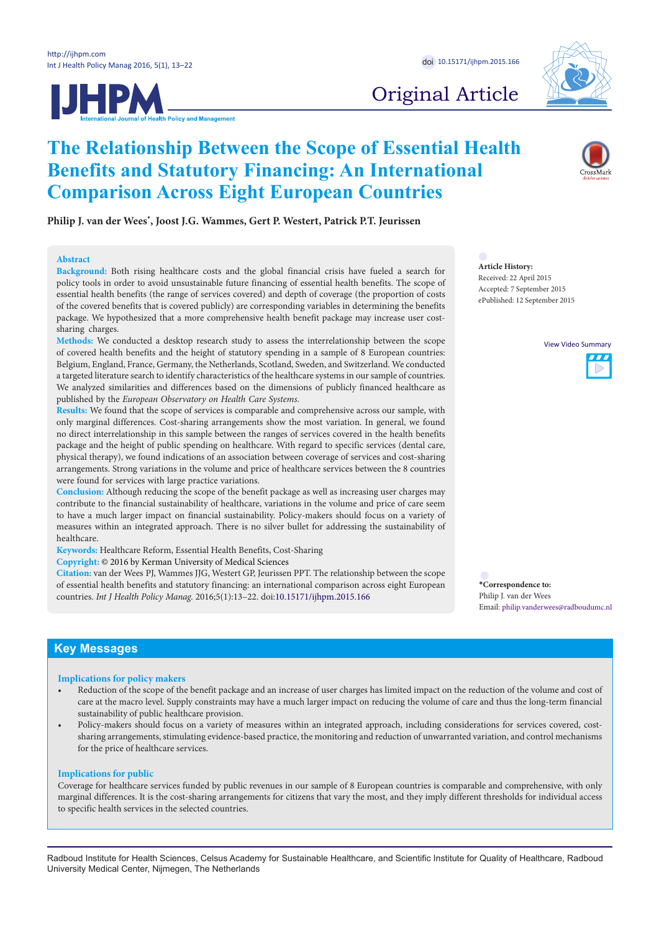

Original Article

# **The Relationship Between the Scope of Essential Health Benefits and Statutory Financing: An International Comparison Across Eight European Countries**

**Philip J. van der Wees[\\*](#page-0-0) , Joost J.G. Wammes, Gert P. Westert, Patrick P.T. Jeurissen** 

## **Abstract**

**Background:** Both rising healthcare costs and the global financial crisis have fueled a search for policy tools in order to avoid unsustainable future financing of essential health benefits. The scope of essential health benefits (the range of services covered) and depth of coverage (the proportion of costs of the covered benefits that is covered publicly) are corresponding variables in determining the benefits package. We hypothesized that a more comprehensive health benefit package may increase user costsharing charges.

**Methods:** We conducted a desktop research study to assess the interrelationship between the scope of covered health benefits and the height of statutory spending in a sample of 8 European countries: Belgium, England, France, Germany, the Netherlands, Scotland, Sweden, and Switzerland. We conducted a targeted literature search to identify characteristics of the healthcare systems in our sample of countries. We analyzed similarities and differences based on the dimensions of publicly financed healthcare as published by the *European Observatory on Health Care Systems*.

**Results:** We found that the scope of services is comparable and comprehensive across our sample, with only marginal differences. Cost-sharing arrangements show the most variation. In general, we found no direct interrelationship in this sample between the ranges of services covered in the health benefits package and the height of public spending on healthcare. With regard to specific services (dental care, physical therapy), we found indications of an association between coverage of services and cost-sharing arrangements. Strong variations in the volume and price of healthcare services between the 8 countries were found for services with large practice variations.

**Conclusion:** Although reducing the scope of the benefit package as well as increasing user charges may contribute to the financial sustainability of healthcare, variations in the volume and price of care seem to have a much larger impact on financial sustainability. Policy-makers should focus on a variety of measures within an integrated approach. There is no silver bullet for addressing the sustainability of healthcare.

**Keywords:** Healthcare Reform, Essential Health Benefits, Cost-Sharing

**Copyright:** © 2016 by Kerman University of Medical Sciences

**Citation:** van der Wees PJ, Wammes JJG, Westert GP, Jeurissen PPT. The relationship between the scope of essential health benefits and statutory financing: an international comparison across eight European countries. *Int J Health Policy Manag.* 2016;5(1):13–22. doi:[10.15171/ijhpm.2015.166](http://dx.doi.org/10.15171/ijhpm.2015.166)

**Article History:** Received: 22 April 2015 Accepted: 7 September 2015 ePublished: 12 September 2015

View Video Summary



<span id="page-0-0"></span>**\*Correspondence to:** Philip J. van der Wees Email: philip.vanderwees@radboudumc.nl

# **Key Messages**

#### **Implications for policy makers**

- Reduction of the scope of the benefit package and an increase of user charges has limited impact on the reduction of the volume and cost of care at the macro level. Supply constraints may have a much larger impact on reducing the volume of care and thus the long-term financial sustainability of public healthcare provision.
- Policy-makers should focus on a variety of measures within an integrated approach, including considerations for services covered, costsharing arrangements, stimulating evidence-based practice, the monitoring and reduction of unwarranted variation, and control mechanisms for the price of healthcare services.

## **Implications for public**

Coverage for healthcare services funded by public revenues in our sample of 8 European countries is comparable and comprehensive, with only marginal differences. It is the cost-sharing arrangements for citizens that vary the most, and they imply different thresholds for individual access to specific health services in the selected countries.

Radboud Institute for Health Sciences, Celsus Academy for Sustainable Healthcare, and Scientific Institute for Quality of Healthcare, Radboud University Medical Center, Nijmegen, The Netherlands

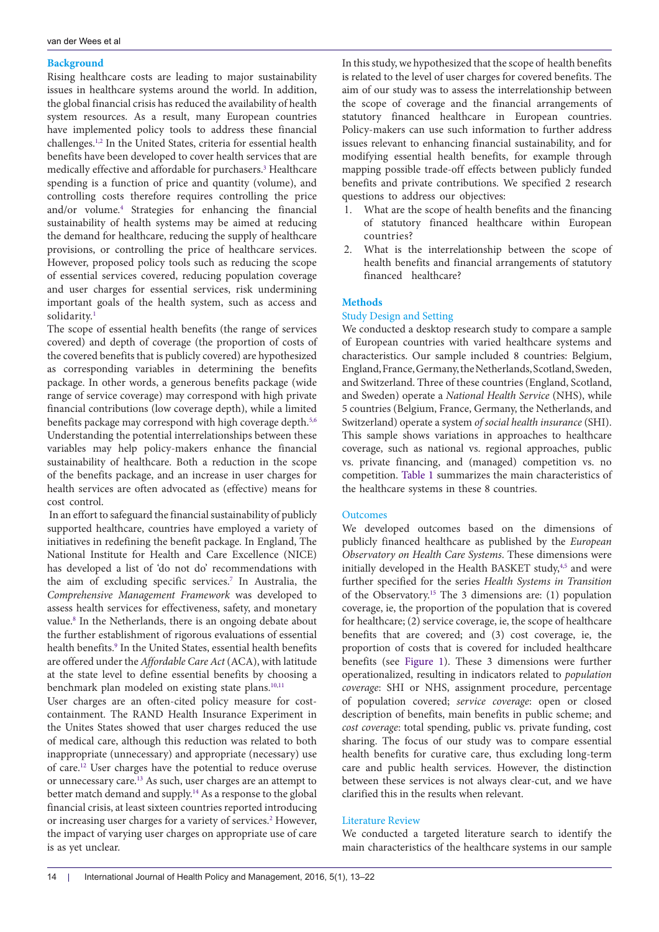# **Background**

Rising healthcare costs are leading to major sustainability issues in healthcare systems around the world. In addition, the global financial crisis has reduced the availability of health system resources. As a result, many European countries have implemented policy tools to address these financial challenges.<sup>[1,](#page-8-0)[2](#page-8-1)</sup> In the United States, criteria for essential health benefits have been developed to cover health services that are medically effective and affordable for purchasers.[3](#page-8-2) Healthcare spending is a function of price and quantity (volume), and controlling costs therefore requires controlling the price and/or volume.[4](#page-8-3) Strategies for enhancing the financial sustainability of health systems may be aimed at reducing the demand for healthcare, reducing the supply of healthcare provisions, or controlling the price of healthcare services. However, proposed policy tools such as reducing the scope of essential services covered, reducing population coverage and user charges for essential services, risk undermining important goals of the health system, such as access and solidarity.<sup>[1](#page-8-0)</sup>

The scope of essential health benefits (the range of services covered) and depth of coverage (the proportion of costs of the covered benefits that is publicly covered) are hypothesized as corresponding variables in determining the benefits package. In other words, a generous benefits package (wide range of service coverage) may correspond with high private financial contributions (low coverage depth), while a limited benefits package may correspond with high coverage depth.<sup>5,[6](#page-8-5)</sup> Understanding the potential interrelationships between these variables may help policy-makers enhance the financial sustainability of healthcare. Both a reduction in the scope of the benefits package, and an increase in user charges for health services are often advocated as (effective) means for cost control.

 In an effort to safeguard the financial sustainability of publicly supported healthcare, countries have employed a variety of initiatives in redefining the benefit package. In England, The National Institute for Health and Care Excellence (NICE) has developed a list of 'do not do' recommendations with the aim of excluding specific services.<sup>[7](#page-8-6)</sup> In Australia, the *Comprehensive Management Framework* was developed to assess health services for effectiveness, safety, and monetary value.<sup>[8](#page-8-7)</sup> In the Netherlands, there is an ongoing debate about the further establishment of rigorous evaluations of essential health benefits.<sup>9</sup> In the United States, essential health benefits are offered under the *Affordable Care Act* (ACA), with latitude at the state level to define essential benefits by choosing a benchmark plan modeled on existing state plans.<sup>10[,11](#page-8-10)</sup>

User charges are an often-cited policy measure for costcontainment. The RAND Health Insurance Experiment in the Unites States showed that user charges reduced the use of medical care, although this reduction was related to both inappropriate (unnecessary) and appropriate (necessary) use of care[.12](#page-8-11) User charges have the potential to reduce overuse or unnecessary care.[13](#page-8-12) As such, user charges are an attempt to better match demand and supply.<sup>[14](#page-8-13)</sup> As a response to the global financial crisis, at least sixteen countries reported introducing or increasing user charges for a variety of services.<sup>2</sup> However, the impact of varying user charges on appropriate use of care is as yet unclear.

In this study, we hypothesized that the scope of health benefits is related to the level of user charges for covered benefits. The aim of our study was to assess the interrelationship between the scope of coverage and the financial arrangements of statutory financed healthcare in European countries. Policy-makers can use such information to further address issues relevant to enhancing financial sustainability, and for modifying essential health benefits, for example through mapping possible trade-off effects between publicly funded benefits and private contributions. We specified 2 research questions to address our objectives:

- 1. What are the scope of health benefits and the financing of statutory financed healthcare within European countries?
- 2. What is the interrelationship between the scope of health benefits and financial arrangements of statutory financed healthcare?

# **Methods**

# Study Design and Setting

We conducted a desktop research study to compare a sample of European countries with varied healthcare systems and characteristics. Our sample included 8 countries: Belgium, England, France, Germany, the Netherlands, Scotland, Sweden, and Switzerland. Three of these countries (England, Scotland, and Sweden) operate a *National Health Service* (NHS), while 5 countries (Belgium, France, Germany, the Netherlands, and Switzerland) operate a system *of social health insurance* (SHI). This sample shows variations in approaches to healthcare coverage, such as national vs. regional approaches, public vs. private financing, and (managed) competition vs. no competition. [Table 1](#page-2-0) summarizes the main characteristics of the healthcare systems in these 8 countries.

## **Outcomes**

We developed outcomes based on the dimensions of publicly financed healthcare as published by the *European Observatory on Health Care Systems*. These dimensions were initially developed in the Health BASKET study,<sup>[4,](#page-8-3)[5](#page-8-4)</sup> and were further specified for the series *Health Systems in Transition*  of the Observatory[.15](#page-8-14) The 3 dimensions are: (1) population coverage, ie, the proportion of the population that is covered for healthcare; (2) service coverage, ie, the scope of healthcare benefits that are covered; and (3) cost coverage, ie, the proportion of costs that is covered for included healthcare benefits (see [Figure 1](#page-2-1)). These 3 dimensions were further operationalized, resulting in indicators related to *population coverage*: SHI or NHS, assignment procedure, percentage of population covered; *service coverage*: open or closed description of benefits, main benefits in public scheme; and *cost coverage*: total spending, public vs. private funding, cost sharing. The focus of our study was to compare essential health benefits for curative care, thus excluding long-term care and public health services. However, the distinction between these services is not always clear-cut, and we have clarified this in the results when relevant.

# Literature Review

We conducted a targeted literature search to identify the main characteristics of the healthcare systems in our sample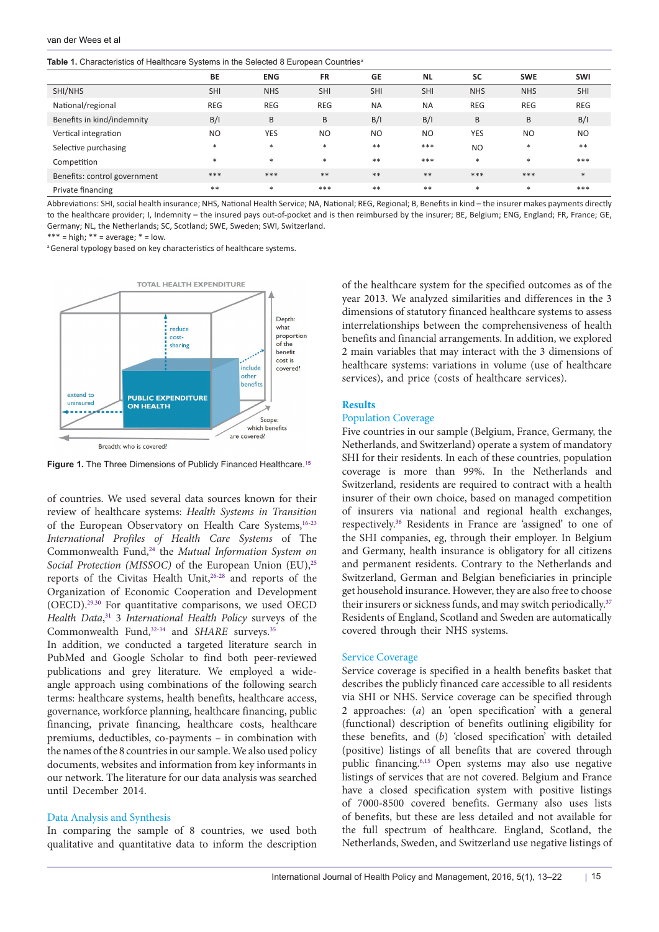<span id="page-2-0"></span>**Table 1.** Characteristics of Healthcare Systems in the Selected 8 European Countries<sup>a</sup>

|                              | $\epsilon$ |            |            |                |            |                |            |            |
|------------------------------|------------|------------|------------|----------------|------------|----------------|------------|------------|
|                              | BE         | <b>ENG</b> | <b>FR</b>  | <b>GE</b>      | <b>NL</b>  | <b>SC</b>      | <b>SWE</b> | SWI        |
| SHI/NHS                      | <b>SHI</b> | <b>NHS</b> | <b>SHI</b> | <b>SHI</b>     | <b>SHI</b> | <b>NHS</b>     | <b>NHS</b> | <b>SHI</b> |
| National/regional            | <b>REG</b> | <b>REG</b> | <b>REG</b> | <b>NA</b>      | <b>NA</b>  | <b>REG</b>     | <b>REG</b> | <b>REG</b> |
| Benefits in kind/indemnity   | B/I        | B          | B          | B/I            | B/I        | B              | B          | B/I        |
| Vertical integration         | <b>NO</b>  | <b>YES</b> | <b>NO</b>  | N <sub>O</sub> | <b>NO</b>  | <b>YES</b>     | <b>NO</b>  | <b>NO</b>  |
| Selective purchasing         | $\ast$     | *          | $\ast$     | $**$           | $***$      | N <sub>O</sub> | $*$        | $**$       |
| Competition                  | $\ast$     | $\ast$     | $\ast$     | $**$           | $***$      | $\ast$         | $*$        | ***        |
| Benefits: control government | ***        | ***        | $***$      | $**$           | $***$      | ***            | ***        | $*$        |
| Private financing            | $* *$      | $\ast$     | ***        | $**$           | $***$      | $*$            | $*$        | ***        |

Abbreviations: SHI, social health insurance; NHS, National Health Service; NA, National; REG, Regional; B, Benefits in kind – the insurer makes payments directly to the healthcare provider; I, Indemnity – the insured pays out-of-pocket and is then reimbursed by the insurer; BE, Belgium; ENG, England; FR, France; GE, Germany; NL, the Netherlands; SC, Scotland; SWE, Sweden; SWI, Switzerland.

\*\*\* = high;  $**$  = average;  $*$  = low.

a General typology based on key characteristics of healthcare systems.

<span id="page-2-1"></span>

Figure 1. The Three Dimensions of Publicly Financed Healthcare.<sup>[15](#page-8-14)</sup>

of countries. We used several data sources known for their review of healthcare systems: *Health Systems in Transition* of the European Observatory on Health Care Systems,<sup>16-[23](#page-8-16)</sup> *International Profiles of Health Care Systems* of The Commonwealth Fund,[24](#page-8-17) the *Mutual Information System on Social Protection (MISSOC)* of the European Union (EU),<sup>[25](#page-8-18)</sup> reports of the Civitas Health Unit[,26-](#page-8-19)[28](#page-8-20) and reports of the Organization of Economic Cooperation and Development (OECD).[29](#page-8-21),[30](#page-8-22) For quantitative comparisons, we used OECD *Health Data*, [31](#page-8-23) 3 *International Health Policy* surveys of the Commonwealth Fund,<sup>32-[34](#page-9-0)</sup> and *SHARE* surveys.<sup>[35](#page-9-1)</sup>

In addition, we conducted a targeted literature search in PubMed and Google Scholar to find both peer-reviewed publications and grey literature. We employed a wideangle approach using combinations of the following search terms: healthcare systems, health benefits, healthcare access, governance, workforce planning, healthcare financing, public financing, private financing, healthcare costs, healthcare premiums, deductibles, co-payments – in combination with the names of the 8 countries in our sample. We also used policy documents, websites and information from key informants in our network. The literature for our data analysis was searched until December 2014.

## Data Analysis and Synthesis

In comparing the sample of 8 countries, we used both qualitative and quantitative data to inform the description of the healthcare system for the specified outcomes as of the year 2013. We analyzed similarities and differences in the 3 dimensions of statutory financed healthcare systems to assess interrelationships between the comprehensiveness of health benefits and financial arrangements. In addition, we explored 2 main variables that may interact with the 3 dimensions of healthcare systems: variations in volume (use of healthcare services), and price (costs of healthcare services).

# **Results**

# Population Coverage

Five countries in our sample (Belgium, France, Germany, the Netherlands, and Switzerland) operate a system of mandatory SHI for their residents. In each of these countries, population coverage is more than 99%. In the Netherlands and Switzerland, residents are required to contract with a health insurer of their own choice, based on managed competition of insurers via national and regional health exchanges, respectively[.36](#page-9-2) Residents in France are 'assigned' to one of the SHI companies, eg, through their employer. In Belgium and Germany, health insurance is obligatory for all citizens and permanent residents. Contrary to the Netherlands and Switzerland, German and Belgian beneficiaries in principle get household insurance. However, they are also free to choose their insurers or sickness funds, and may switch periodically.<sup>37</sup> Residents of England, Scotland and Sweden are automatically covered through their NHS systems.

#### Service Coverage

Service coverage is specified in a health benefits basket that describes the publicly financed care accessible to all residents via SHI or NHS. Service coverage can be specified through 2 approaches: (*a*) an 'open specification' with a general (functional) description of benefits outlining eligibility for these benefits, and (*b*) 'closed specification' with detailed (positive) listings of all benefits that are covered through public financing[.6](#page-8-5)[,15](#page-8-14) Open systems may also use negative listings of services that are not covered. Belgium and France have a closed specification system with positive listings of 7000-8500 covered benefits. Germany also uses lists of benefits, but these are less detailed and not available for the full spectrum of healthcare. England, Scotland, the Netherlands, Sweden, and Switzerland use negative listings of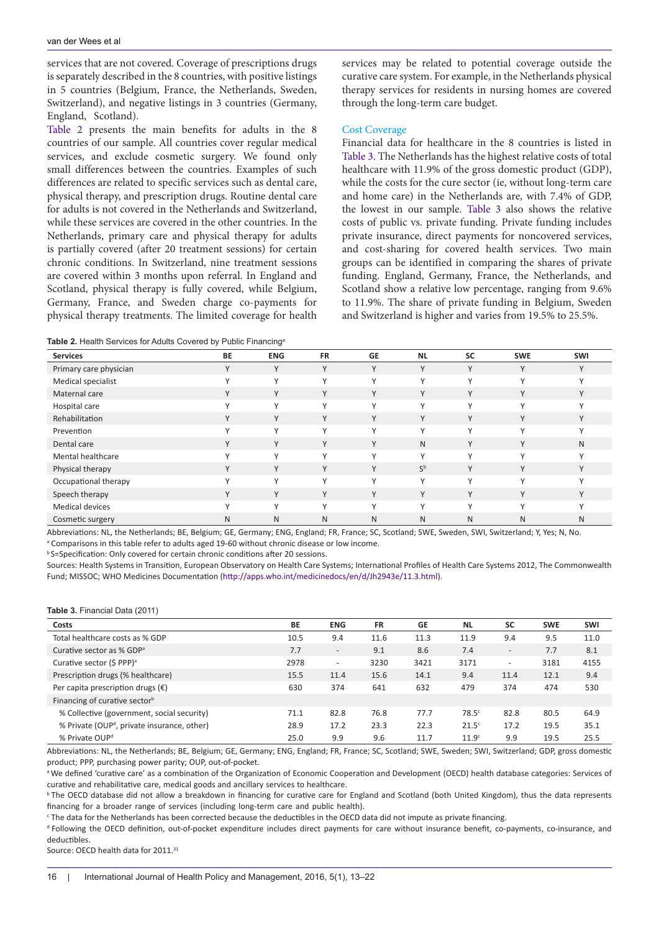services that are not covered. Coverage of prescriptions drugs is separately described in the 8 countries, with positive listings in 5 countries (Belgium, France, the Netherlands, Sweden, Switzerland), and negative listings in 3 countries (Germany, England, Scotland).

[Table 2](#page-3-0) presents the main benefits for adults in the 8 countries of our sample. All countries cover regular medical services, and exclude cosmetic surgery. We found only small differences between the countries. Examples of such differences are related to specific services such as dental care, physical therapy, and prescription drugs. Routine dental care for adults is not covered in the Netherlands and Switzerland, while these services are covered in the other countries. In the Netherlands, primary care and physical therapy for adults is partially covered (after 20 treatment sessions) for certain chronic conditions. In Switzerland, nine treatment sessions are covered within 3 months upon referral. In England and Scotland, physical therapy is fully covered, while Belgium, Germany, France, and Sweden charge co-payments for physical therapy treatments. The limited coverage for health services may be related to potential coverage outside the curative care system. For example, in the Netherlands physical therapy services for residents in nursing homes are covered through the long-term care budget.

## Cost Coverage

Financial data for healthcare in the 8 countries is listed in [Table 3](#page-3-1). The Netherlands has the highest relative costs of total healthcare with 11.9% of the gross domestic product (GDP), while the costs for the cure sector (ie, without long-term care and home care) in the Netherlands are, with 7.4% of GDP, the lowest in our sample. [Table 3](#page-3-1) also shows the relative costs of public vs. private funding. Private funding includes private insurance, direct payments for noncovered services, and cost-sharing for covered health services. Two main groups can be identified in comparing the shares of private funding. England, Germany, France, the Netherlands, and Scotland show a relative low percentage, ranging from 9.6% to 11.9%. The share of private funding in Belgium, Sweden and Switzerland is higher and varies from 19.5% to 25.5%.

<span id="page-3-0"></span>**Table 2.** Health Services for Adults Covered by Public Financinga

| <b>Services</b>        | $\overline{\phantom{a}}$<br><b>BE</b> | <b>ENG</b>   | <b>FR</b>    | <b>GE</b>    | <b>NL</b>    | <b>SC</b>    | <b>SWE</b>   | SWI          |
|------------------------|---------------------------------------|--------------|--------------|--------------|--------------|--------------|--------------|--------------|
| Primary care physician | $\vee$                                | Υ            | $\vee$       | Υ            | $\vee$       | $\vee$       | $\vee$       | $\checkmark$ |
| Medical specialist     | $\vee$                                | Y            | $\checkmark$ | Y            | $\vee$       | $\checkmark$ | $\vee$       | $\checkmark$ |
| Maternal care          | Y                                     | Υ            | Y            | Y            | Y            | Y            | Y            | $\vee$       |
| Hospital care          | $\checkmark$                          | $\checkmark$ | $\mathsf{v}$ | Y            | $\checkmark$ | $\checkmark$ | $\checkmark$ | $\sqrt{}$    |
| Rehabilitation         | Y                                     | Υ            | Y            | Y            | Y            | Y            | Y            | Y            |
| Prevention             | $\mathcal{L}$                         | $\checkmark$ | $\mathbf{v}$ | $\checkmark$ | $\checkmark$ | $\vee$       | $\sqrt{}$    | $\sqrt{ }$   |
| Dental care            | Y                                     | Y            | Y            | Y            | N            | Y            | Y            | N            |
| Mental healthcare      |                                       | $\checkmark$ | $\mathbf{v}$ | $\checkmark$ | $\checkmark$ | $\vee$       | $\sqrt{}$    | $\mathbf{v}$ |
| Physical therapy       | Y                                     | Υ            | Y            | Y            | $S^{\rm b}$  | Y            | Y            | Y            |
| Occupational therapy   |                                       | v            | $\checkmark$ | γ            | $\checkmark$ | v            |              |              |
| Speech therapy         | Y                                     | Υ            | $\vee$       | Υ            | Y            | V            | $\vee$       | $\vee$       |
| Medical devices        | $\vee$                                | v            | $\mathsf{v}$ | $\checkmark$ | $\checkmark$ | $\checkmark$ | $\checkmark$ | $\checkmark$ |
| Cosmetic surgery       | N                                     | N            | N            | N            | N            | N            | N            | N            |

Abbreviations: NL, the Netherlands; BE, Belgium; GE, Germany; ENG, England; FR, France; SC, Scotland; SWE, Sweden, SWI, Switzerland; Y, Yes; N, No. a  Comparisons in this table refer to adults aged 19-60 without chronic disease or low income.

b S=Specification: Only covered for certain chronic conditions after 20 sessions.

Sources: Health Systems in Transition, European Observatory on Health Care Systems; International Profiles of Health Care Systems 2012, The Commonwealth Fund; MISSOC; WHO Medicines Documentation [\(http://apps.who.int/medicinedocs/en/d/Jh2943e/11.3.htm](http://apps.who.int/medicinedocs/en/d/Jh2943e/11.3.html)l).

#### <span id="page-3-1"></span>**Table 3.** Financial Data (2011)

| Costs                                                   | <b>BE</b> | <b>ENG</b>               | <b>FR</b> | <b>GE</b> | <b>NL</b>         | <b>SC</b>                | <b>SWE</b> | <b>SWI</b> |
|---------------------------------------------------------|-----------|--------------------------|-----------|-----------|-------------------|--------------------------|------------|------------|
| Total healthcare costs as % GDP                         | 10.5      | 9.4                      | 11.6      | 11.3      | 11.9              | 9.4                      | 9.5        | 11.0       |
| Curative sector as % GDP <sup>a</sup>                   | 7.7       | $\overline{\phantom{a}}$ | 9.1       | 8.6       | 7.4               | $\qquad \qquad -$        | 7.7        | 8.1        |
| Curative sector (\$ PPP) <sup>a</sup>                   | 2978      | $\overline{\phantom{a}}$ | 3230      | 3421      | 3171              | $\overline{\phantom{0}}$ | 3181       | 4155       |
| Prescription drugs (% healthcare)                       | 15.5      | 11.4                     | 15.6      | 14.1      | 9.4               | 11.4                     | 12.1       | 9.4        |
| Per capita prescription drugs $(\epsilon)$              | 630       | 374                      | 641       | 632       | 479               | 374                      | 474        | 530        |
| Financing of curative sector <sup>b</sup>               |           |                          |           |           |                   |                          |            |            |
| % Collective (government, social security)              | 71.1      | 82.8                     | 76.8      | 77.7      | 78.5 <sup>c</sup> | 82.8                     | 80.5       | 64.9       |
| % Private (OUP <sup>d</sup> , private insurance, other) | 28.9      | 17.2                     | 23.3      | 22.3      | $21.5^\circ$      | 17.2                     | 19.5       | 35.1       |
| % Private OUP <sup>d</sup>                              | 25.0      | 9.9                      | 9.6       | 11.7      | 11.9 <sup>c</sup> | 9.9                      | 19.5       | 25.5       |

Abbreviations: NL, the Netherlands; BE, Belgium; GE, Germany; ENG, England; FR, France; SC, Scotland; SWE, Sweden; SWI, Switzerland; GDP, gross domestic product; PPP, purchasing power parity; OUP, out-of-pocket.

<sup>a</sup>We defined 'curative care' as a combination of the Organization of Economic Cooperation and Development (OECD) health database categories: Services of curative and rehabilitative care, medical goods and ancillary services to healthcare.

**b** The OECD database did not allow a breakdown in financing for curative care for England and Scotland (both United Kingdom), thus the data represents financing for a broader range of services (including long-term care and public health).

c The data for the Netherlands has been corrected because the deductibles in the OECD data did not impute as private financing.

d Following the OECD definition, out-of-pocket expenditure includes direct payments for care without insurance benefit, co-payments, co-insurance, and deductibles.

Source: OECD health data for 2011.<sup>[31](#page-8-23)</sup>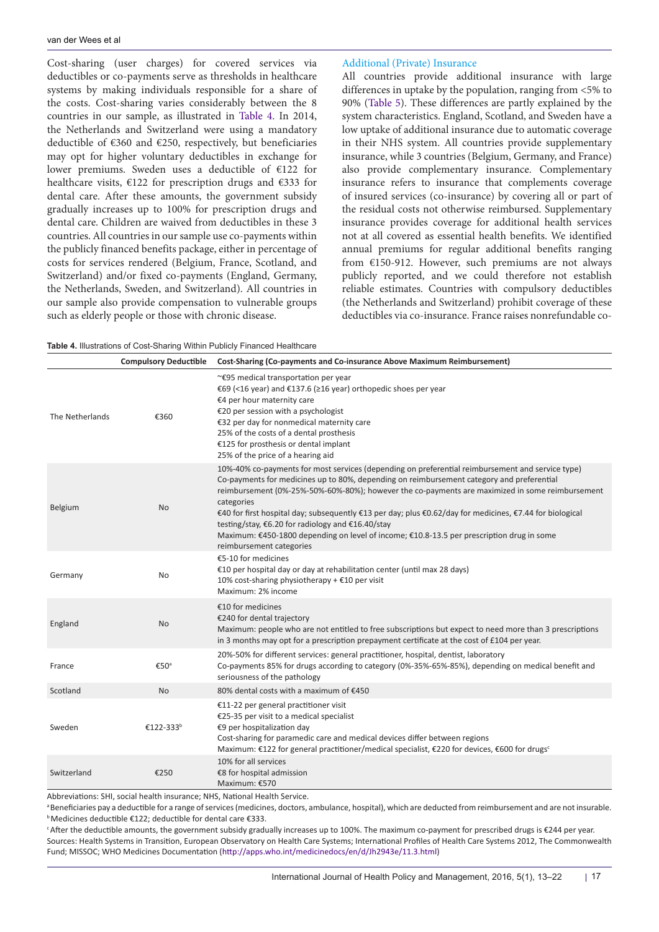Cost-sharing (user charges) for covered services via deductibles or co-payments serve as thresholds in healthcare systems by making individuals responsible for a share of the costs. Cost-sharing varies considerably between the 8 countries in our sample, as illustrated in [Table 4](#page-4-0). In 2014, the Netherlands and Switzerland were using a mandatory deductible of €360 and €250, respectively, but beneficiaries may opt for higher voluntary deductibles in exchange for lower premiums. Sweden uses a deductible of €122 for healthcare visits, €122 for prescription drugs and €333 for dental care. After these amounts, the government subsidy gradually increases up to 100% for prescription drugs and dental care. Children are waived from deductibles in these 3 countries. All countries in our sample use co-payments within the publicly financed benefits package, either in percentage of costs for services rendered (Belgium, France, Scotland, and Switzerland) and/or fixed co-payments (England, Germany, the Netherlands, Sweden, and Switzerland). All countries in our sample also provide compensation to vulnerable groups such as elderly people or those with chronic disease.

# Additional (Private) Insurance

All countries provide additional insurance with large differences in uptake by the population, ranging from <5% to 90% ([Table 5\)](#page-5-0). These differences are partly explained by the system characteristics. England, Scotland, and Sweden have a low uptake of additional insurance due to automatic coverage in their NHS system. All countries provide supplementary insurance, while 3 countries (Belgium, Germany, and France) also provide complementary insurance. Complementary insurance refers to insurance that complements coverage of insured services (co-insurance) by covering all or part of the residual costs not otherwise reimbursed. Supplementary insurance provides coverage for additional health services not at all covered as essential health benefits. We identified annual premiums for regular additional benefits ranging from €150-912. However, such premiums are not always publicly reported, and we could therefore not establish reliable estimates. Countries with compulsory deductibles (the Netherlands and Switzerland) prohibit coverage of these deductibles via co-insurance. France raises nonrefundable co-

<span id="page-4-0"></span>

|                 | <b>Compulsory Deductible</b> | Cost-Sharing (Co-payments and Co-insurance Above Maximum Reimbursement)                                                                                                                                                                                                                                                                                                                                                                                                                                                                                                                                  |
|-----------------|------------------------------|----------------------------------------------------------------------------------------------------------------------------------------------------------------------------------------------------------------------------------------------------------------------------------------------------------------------------------------------------------------------------------------------------------------------------------------------------------------------------------------------------------------------------------------------------------------------------------------------------------|
| The Netherlands | €360                         | ~€95 medical transportation per year<br>€69 (<16 year) and €137.6 (≥16 year) orthopedic shoes per year<br>€4 per hour maternity care<br>€20 per session with a psychologist<br>€32 per day for nonmedical maternity care<br>25% of the costs of a dental prosthesis<br>€125 for prosthesis or dental implant<br>25% of the price of a hearing aid                                                                                                                                                                                                                                                        |
| Belgium         | N <sub>o</sub>               | 10%-40% co-payments for most services (depending on preferential reimbursement and service type)<br>Co-payments for medicines up to 80%, depending on reimbursement category and preferential<br>reimbursement (0%-25%-50%-60%-80%); however the co-payments are maximized in some reimbursement<br>categories<br>€40 for first hospital day; subsequently €13 per day; plus €0.62/day for medicines, €7.44 for biological<br>testing/stay, €6.20 for radiology and €16.40/stay<br>Maximum: €450-1800 depending on level of income; €10.8-13.5 per prescription drug in some<br>reimbursement categories |
| Germany         | N <sub>o</sub>               | €5-10 for medicines<br>€10 per hospital day or day at rehabilitation center (until max 28 days)<br>10% cost-sharing physiotherapy + $£10$ per visit<br>Maximum: 2% income                                                                                                                                                                                                                                                                                                                                                                                                                                |
| England         | <b>No</b>                    | €10 for medicines<br>€240 for dental trajectory<br>Maximum: people who are not entitled to free subscriptions but expect to need more than 3 prescriptions<br>in 3 months may opt for a prescription prepayment certificate at the cost of £104 per year.                                                                                                                                                                                                                                                                                                                                                |
| France          | €50ª                         | 20%-50% for different services: general practitioner, hospital, dentist, laboratory<br>Co-payments 85% for drugs according to category (0%-35%-65%-85%), depending on medical benefit and<br>seriousness of the pathology                                                                                                                                                                                                                                                                                                                                                                                |
| Scotland        | N <sub>o</sub>               | 80% dental costs with a maximum of €450                                                                                                                                                                                                                                                                                                                                                                                                                                                                                                                                                                  |
| Sweden          | €122-333 <sup>b</sup>        | €11-22 per general practitioner visit<br>€25-35 per visit to a medical specialist<br>€9 per hospitalization day<br>Cost-sharing for paramedic care and medical devices differ between regions<br>Maximum: $\epsilon$ 122 for general practitioner/medical specialist, $\epsilon$ 220 for devices, $\epsilon$ 600 for drugs <sup>c</sup>                                                                                                                                                                                                                                                                  |
| Switzerland     | €250                         | 10% for all services<br>€8 for hospital admission<br>Maximum: €570                                                                                                                                                                                                                                                                                                                                                                                                                                                                                                                                       |

Abbreviations: SHI, social health insurance; NHS, National Health Service.

<sup>a</sup>Beneficiaries pay a deductible for a range of services (medicines, doctors, ambulance, hospital), which are deducted from reimbursement and are not insurable. b Medicines deductible €122; deductible for dental care €333.

c After the deductible amounts, the government subsidy gradually increases up to 100%. The maximum co-payment for prescribed drugs is €244 per year. Sources: Health Systems in Transition, European Observatory on Health Care Systems; International Profiles of Health Care Systems 2012, The Commonwealth Fund; MISSOC; WHO Medicines Documentation (<http://apps.who.int/medicinedocs/en/d/Jh2943e/11.3.html>)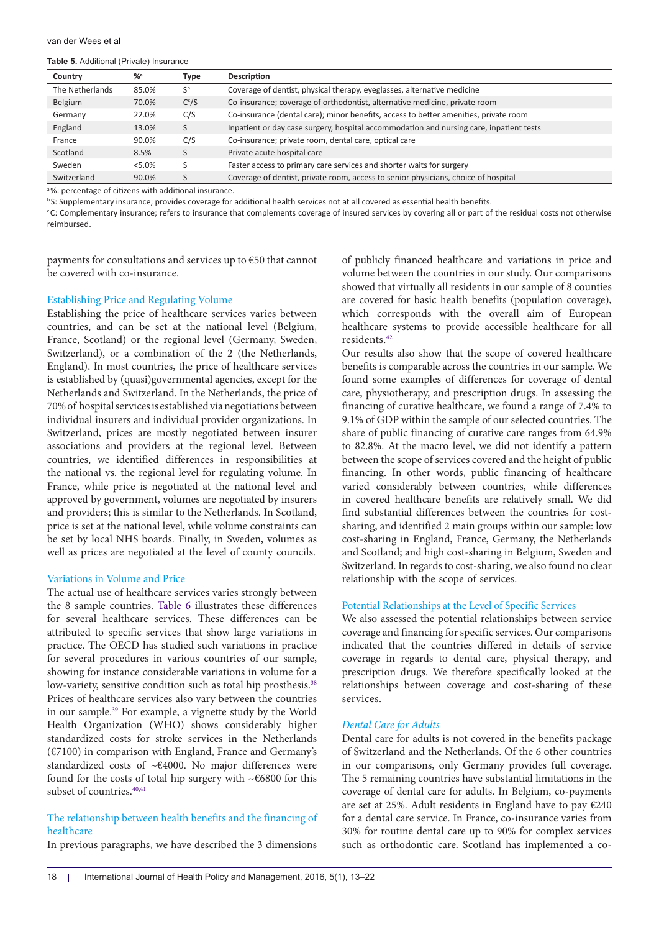<span id="page-5-0"></span>**Table 5.** Additional (Private) Insurance

| Country         | $%$ <sup>a</sup> | <b>Type</b> | Description                                                                             |
|-----------------|------------------|-------------|-----------------------------------------------------------------------------------------|
| The Netherlands | 85.0%            | $S^{\rm b}$ | Coverage of dentist, physical therapy, eyeglasses, alternative medicine                 |
| Belgium         | 70.0%            | $C^{c}/S$   | Co-insurance; coverage of orthodontist, alternative medicine, private room              |
| Germany         | 22.0%            | C/S         | Co-insurance (dental care); minor benefits, access to better amenities, private room    |
| England         | 13.0%            | S           | Inpatient or day case surgery, hospital accommodation and nursing care, inpatient tests |
| France          | 90.0%            | C/S         | Co-insurance; private room, dental care, optical care                                   |
| Scotland        | 8.5%             | S           | Private acute hospital care                                                             |
| Sweden          | $< 5.0\%$        | S           | Faster access to primary care services and shorter waits for surgery                    |
| Switzerland     | 90.0%            | S           | Coverage of dentist, private room, access to senior physicians, choice of hospital      |

a %: percentage of citizens with additional insurance.

**b**S: Supplementary insurance; provides coverage for additional health services not at all covered as essential health benefits.

c C: Complementary insurance; refers to insurance that complements coverage of insured services by covering all or part of the residual costs not otherwise reimbursed.

payments for consultations and services up to €50 that cannot be covered with co-insurance.

## Establishing Price and Regulating Volume

Establishing the price of healthcare services varies between countries, and can be set at the national level (Belgium, France, Scotland) or the regional level (Germany, Sweden, Switzerland), or a combination of the 2 (the Netherlands, England). In most countries, the price of healthcare services is established by (quasi)governmental agencies, except for the Netherlands and Switzerland. In the Netherlands, the price of 70% of hospital services is established via negotiations between individual insurers and individual provider organizations. In Switzerland, prices are mostly negotiated between insurer associations and providers at the regional level. Between countries, we identified differences in responsibilities at the national vs. the regional level for regulating volume. In France, while price is negotiated at the national level and approved by government, volumes are negotiated by insurers and providers; this is similar to the Netherlands. In Scotland, price is set at the national level, while volume constraints can be set by local NHS boards. Finally, in Sweden, volumes as well as prices are negotiated at the level of county councils.

## Variations in Volume and Price

The actual use of healthcare services varies strongly between the 8 sample countries. [Table 6](#page-6-0) illustrates these differences for several healthcare services. These differences can be attributed to specific services that show large variations in practice. The OECD has studied such variations in practice for several procedures in various countries of our sample, showing for instance considerable variations in volume for a low-variety, sensitive condition such as total hip prosthesis.<sup>[38](#page-9-4)</sup> Prices of healthcare services also vary between the countries in our sample[.39](#page-9-5) For example, a vignette study by the World Health Organization (WHO) shows considerably higher standardized costs for stroke services in the Netherlands (€7100) in comparison with England, France and Germany's standardized costs of ~€4000. No major differences were found for the costs of total hip surgery with  $~\sim 66800$  for this subset of countries.<sup>[40](#page-9-6),[41](#page-9-7)</sup>

# The relationship between health benefits and the financing of healthcare

In previous paragraphs, we have described the 3 dimensions

of publicly financed healthcare and variations in price and volume between the countries in our study. Our comparisons showed that virtually all residents in our sample of 8 counties are covered for basic health benefits (population coverage), which corresponds with the overall aim of European healthcare systems to provide accessible healthcare for all residents.[42](#page-9-8)

Our results also show that the scope of covered healthcare benefits is comparable across the countries in our sample. We found some examples of differences for coverage of dental care, physiotherapy, and prescription drugs. In assessing the financing of curative healthcare, we found a range of 7.4% to 9.1% of GDP within the sample of our selected countries. The share of public financing of curative care ranges from 64.9% to 82.8%. At the macro level, we did not identify a pattern between the scope of services covered and the height of public financing. In other words, public financing of healthcare varied considerably between countries, while differences in covered healthcare benefits are relatively small. We did find substantial differences between the countries for costsharing, and identified 2 main groups within our sample: low cost-sharing in England, France, Germany, the Netherlands and Scotland; and high cost-sharing in Belgium, Sweden and Switzerland. In regards to cost-sharing, we also found no clear relationship with the scope of services.

## Potential Relationships at the Level of Specific Services

We also assessed the potential relationships between service coverage and financing for specific services. Our comparisons indicated that the countries differed in details of service coverage in regards to dental care, physical therapy, and prescription drugs. We therefore specifically looked at the relationships between coverage and cost-sharing of these services.

## *Dental Care for Adults*

Dental care for adults is not covered in the benefits package of Switzerland and the Netherlands. Of the 6 other countries in our comparisons, only Germany provides full coverage. The 5 remaining countries have substantial limitations in the coverage of dental care for adults. In Belgium, co-payments are set at 25%. Adult residents in England have to pay €240 for a dental care service. In France, co-insurance varies from 30% for routine dental care up to 90% for complex services such as orthodontic care. Scotland has implemented a co-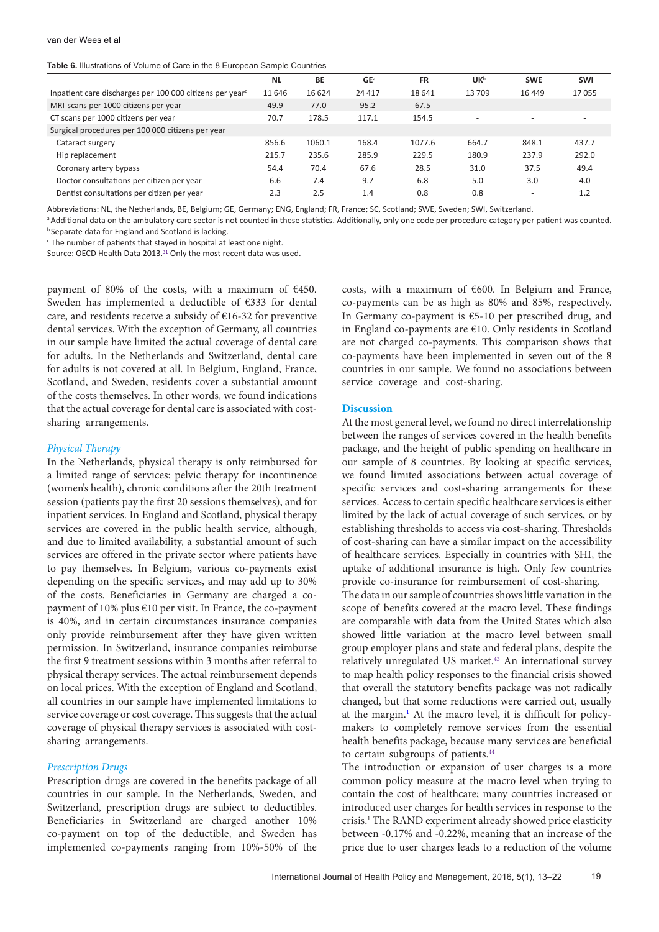<span id="page-6-0"></span>

|  | Table 6. Illustrations of Volume of Care in the 8 European Sample Countries |  |  |  |  |  |  |
|--|-----------------------------------------------------------------------------|--|--|--|--|--|--|
|--|-----------------------------------------------------------------------------|--|--|--|--|--|--|

|                                                                      | <b>NL</b> | BE     | GE <sup>a</sup> | <b>FR</b> | <b>UK</b> <sup>b</sup>   | <b>SWE</b>               | <b>SWI</b> |  |  |  |  |
|----------------------------------------------------------------------|-----------|--------|-----------------|-----------|--------------------------|--------------------------|------------|--|--|--|--|
| Inpatient care discharges per 100 000 citizens per year <sup>c</sup> | 11 646    | 16 624 | 24 4 1 7        | 18641     | 13709                    | 16449                    | 17055      |  |  |  |  |
| MRI-scans per 1000 citizens per year                                 | 49.9      | 77.0   | 95.2            | 67.5      |                          | $\overline{\phantom{a}}$ |            |  |  |  |  |
| CT scans per 1000 citizens per year                                  | 70.7      | 178.5  | 117.1           | 154.5     | $\overline{\phantom{a}}$ | $\overline{\phantom{a}}$ |            |  |  |  |  |
| Surgical procedures per 100 000 citizens per year                    |           |        |                 |           |                          |                          |            |  |  |  |  |
| Cataract surgery                                                     | 856.6     | 1060.1 | 168.4           | 1077.6    | 664.7                    | 848.1                    | 437.7      |  |  |  |  |
| Hip replacement                                                      | 215.7     | 235.6  | 285.9           | 229.5     | 180.9                    | 237.9                    | 292.0      |  |  |  |  |
| Coronary artery bypass                                               | 54.4      | 70.4   | 67.6            | 28.5      | 31.0                     | 37.5                     | 49.4       |  |  |  |  |
| Doctor consultations per citizen per year                            | 6.6       | 7.4    | 9.7             | 6.8       | 5.0                      | 3.0                      | 4.0        |  |  |  |  |
| Dentist consultations per citizen per year                           | 2.3       | 2.5    | 1.4             | 0.8       | 0.8                      | $\overline{\phantom{a}}$ | 1.2        |  |  |  |  |

Abbreviations: NL, the Netherlands, BE, Belgium; GE, Germany; ENG, England; FR, France; SC, Scotland; SWE, Sweden; SWI, Switzerland.

aAdditional data on the ambulatory care sector is not counted in these statistics. Additionally, only one code per procedure category per patient was counted. **b Separate data for England and Scotland is lacking.** 

 $\epsilon$  The number of patients that stayed in hospital at least one night.

Source: OECD Health Data 2013.<sup>[31](#page-8-23)</sup> Only the most recent data was used.

payment of 80% of the costs, with a maximum of €450. Sweden has implemented a deductible of €333 for dental care, and residents receive a subsidy of €16-32 for preventive dental services. With the exception of Germany, all countries in our sample have limited the actual coverage of dental care for adults. In the Netherlands and Switzerland, dental care for adults is not covered at all. In Belgium, England, France, Scotland, and Sweden, residents cover a substantial amount of the costs themselves. In other words, we found indications that the actual coverage for dental care is associated with costsharing arrangements.

#### *Physical Therapy*

In the Netherlands, physical therapy is only reimbursed for a limited range of services: pelvic therapy for incontinence (women's health), chronic conditions after the 20th treatment session (patients pay the first 20 sessions themselves), and for inpatient services. In England and Scotland, physical therapy services are covered in the public health service, although, and due to limited availability, a substantial amount of such services are offered in the private sector where patients have to pay themselves. In Belgium, various co-payments exist depending on the specific services, and may add up to 30% of the costs. Beneficiaries in Germany are charged a copayment of 10% plus €10 per visit. In France, the co-payment is 40%, and in certain circumstances insurance companies only provide reimbursement after they have given written permission. In Switzerland, insurance companies reimburse the first 9 treatment sessions within 3 months after referral to physical therapy services. The actual reimbursement depends on local prices. With the exception of England and Scotland, all countries in our sample have implemented limitations to service coverage or cost coverage. This suggests that the actual coverage of physical therapy services is associated with costsharing arrangements.

## *Prescription Drugs*

Prescription drugs are covered in the benefits package of all countries in our sample. In the Netherlands, Sweden, and Switzerland, prescription drugs are subject to deductibles. Beneficiaries in Switzerland are charged another 10% co-payment on top of the deductible, and Sweden has implemented co-payments ranging from 10%-50% of the costs, with a maximum of €600. In Belgium and France, co-payments can be as high as 80% and 85%, respectively. In Germany co-payment is €5-10 per prescribed drug, and in England co-payments are €10. Only residents in Scotland are not charged co-payments. This comparison shows that co-payments have been implemented in seven out of the 8 countries in our sample. We found no associations between service coverage and cost-sharing.

## **Discussion**

At the most general level, we found no direct interrelationship between the ranges of services covered in the health benefits package, and the height of public spending on healthcare in our sample of 8 countries. By looking at specific services, we found limited associations between actual coverage of specific services and cost-sharing arrangements for these services. Access to certain specific healthcare services is either limited by the lack of actual coverage of such services, or by establishing thresholds to access via cost-sharing. Thresholds of cost-sharing can have a similar impact on the accessibility of healthcare services. Especially in countries with SHI, the uptake of additional insurance is high. Only few countries provide co-insurance for reimbursement of cost-sharing.

The data in our sample of countries shows little variation in the scope of benefits covered at the macro level. These findings are comparable with data from the United States which also showed little variation at the macro level between small group employer plans and state and federal plans, despite the relatively unregulated US market.<sup>43</sup> An international survey to map health policy responses to the financial crisis showed that overall the statutory benefits package was not radically changed, but that some reductions were carried out, usually at the margin.<sup>1</sup> At the macro level, it is difficult for policymakers to completely remove services from the essential health benefits package, because many services are beneficial to certain subgroups of patients.<sup>[44](#page-9-10)</sup>

The introduction or expansion of user charges is a more common policy measure at the macro level when trying to contain the cost of healthcare; many countries increased or introduced user charges for health services in response to the crisis.1 The RAND experiment already showed price elasticity between -0.17% and -0.22%, meaning that an increase of the price due to user charges leads to a reduction of the volume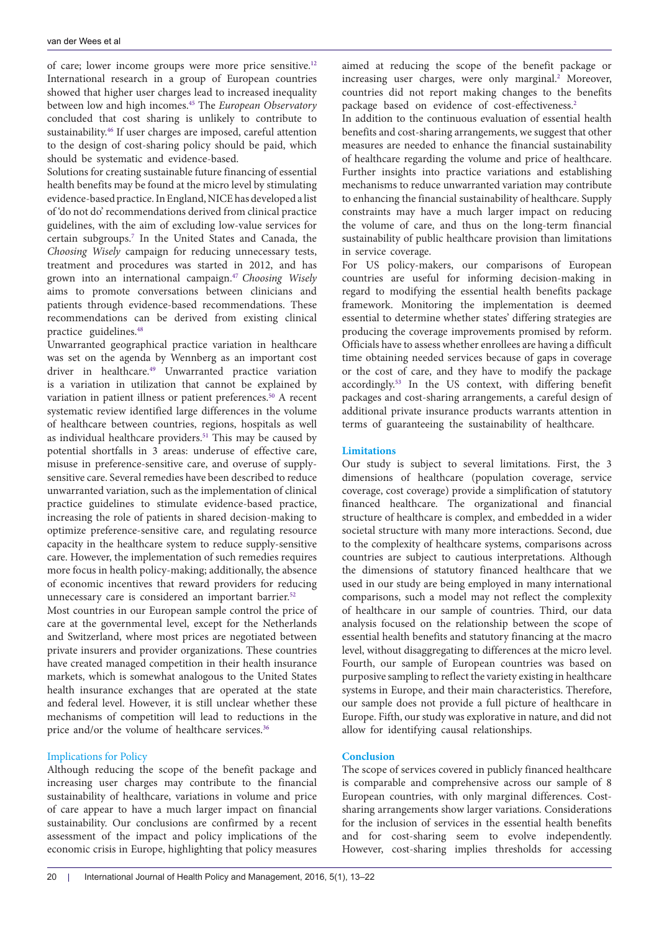of care; lower income groups were more price sensitive.[12](#page-8-11) International research in a group of European countries showed that higher user charges lead to increased inequality between low and high incomes.[45](#page-9-11) The *European Observatory* concluded that cost sharing is unlikely to contribute to sustainability.[46](#page-9-12) If user charges are imposed, careful attention to the design of cost-sharing policy should be paid, which should be systematic and evidence-based.

Solutions for creating sustainable future financing of essential health benefits may be found at the micro level by stimulating evidence-based practice. In England, NICE has developed a list of 'do not do' recommendations derived from clinical practice guidelines, with the aim of excluding low-value services for certain subgroups.[7](#page-8-6) In the United States and Canada, the *Choosing Wisely* campaign for reducing unnecessary tests, treatment and procedures was started in 2012, and has grown into an international campaign.[47](#page-9-13) *Choosing Wisely* aims to promote conversations between clinicians and patients through evidence-based recommendations. These recommendations can be derived from existing clinical practice guidelines.<sup>[48](#page-9-14)</sup>

Unwarranted geographical practice variation in healthcare was set on the agenda by Wennberg as an important cost driver in healthcare.<sup>49</sup> Unwarranted practice variation is a variation in utilization that cannot be explained by variation in patient illness or patient preferences.<sup>[50](#page-9-16)</sup> A recent systematic review identified large differences in the volume of healthcare between countries, regions, hospitals as well as individual healthcare providers.<sup>51</sup> This may be caused by potential shortfalls in 3 areas: underuse of effective care, misuse in preference-sensitive care, and overuse of supplysensitive care. Several remedies have been described to reduce unwarranted variation, such as the implementation of clinical practice guidelines to stimulate evidence-based practice, increasing the role of patients in shared decision-making to optimize preference-sensitive care, and regulating resource capacity in the healthcare system to reduce supply-sensitive care. However, the implementation of such remedies requires more focus in health policy-making; additionally, the absence of economic incentives that reward providers for reducing unnecessary care is considered an important barrier.<sup>[52](#page-9-18)</sup>

Most countries in our European sample control the price of care at the governmental level, except for the Netherlands and Switzerland, where most prices are negotiated between private insurers and provider organizations. These countries have created managed competition in their health insurance markets, which is somewhat analogous to the United States health insurance exchanges that are operated at the state and federal level. However, it is still unclear whether these mechanisms of competition will lead to reductions in the price and/or the volume of healthcare services.<sup>[36](#page-9-2)</sup>

# Implications for Policy

Although reducing the scope of the benefit package and increasing user charges may contribute to the financial sustainability of healthcare, variations in volume and price of care appear to have a much larger impact on financial sustainability. Our conclusions are confirmed by a recent assessment of the impact and policy implications of the economic crisis in Europe, highlighting that policy measures aimed at reducing the scope of the benefit package or increasing user charges, were only marginal.<sup>2</sup> Moreover, countries did not report making changes to the benefits package based on evidence of cost-effectiveness.<sup>2</sup>

In addition to the continuous evaluation of essential health benefits and cost-sharing arrangements, we suggest that other measures are needed to enhance the financial sustainability of healthcare regarding the volume and price of healthcare. Further insights into practice variations and establishing mechanisms to reduce unwarranted variation may contribute to enhancing the financial sustainability of healthcare. Supply constraints may have a much larger impact on reducing the volume of care, and thus on the long-term financial sustainability of public healthcare provision than limitations in service coverage.

For US policy-makers, our comparisons of European countries are useful for informing decision-making in regard to modifying the essential health benefits package framework. Monitoring the implementation is deemed essential to determine whether states' differing strategies are producing the coverage improvements promised by reform. Officials have to assess whether enrollees are having a difficult time obtaining needed services because of gaps in coverage or the cost of care, and they have to modify the package accordingly[.53](#page-9-19) In the US context, with differing benefit packages and cost-sharing arrangements, a careful design of additional private insurance products warrants attention in terms of guaranteeing the sustainability of healthcare.

## **Limitations**

Our study is subject to several limitations. First, the 3 dimensions of healthcare (population coverage, service coverage, cost coverage) provide a simplification of statutory financed healthcare. The organizational and financial structure of healthcare is complex, and embedded in a wider societal structure with many more interactions. Second, due to the complexity of healthcare systems, comparisons across countries are subject to cautious interpretations. Although the dimensions of statutory financed healthcare that we used in our study are being employed in many international comparisons, such a model may not reflect the complexity of healthcare in our sample of countries. Third, our data analysis focused on the relationship between the scope of essential health benefits and statutory financing at the macro level, without disaggregating to differences at the micro level. Fourth, our sample of European countries was based on purposive sampling to reflect the variety existing in healthcare systems in Europe, and their main characteristics. Therefore, our sample does not provide a full picture of healthcare in Europe. Fifth, our study was explorative in nature, and did not allow for identifying causal relationships.

# **Conclusion**

The scope of services covered in publicly financed healthcare is comparable and comprehensive across our sample of 8 European countries, with only marginal differences. Costsharing arrangements show larger variations. Considerations for the inclusion of services in the essential health benefits and for cost-sharing seem to evolve independently. However, cost-sharing implies thresholds for accessing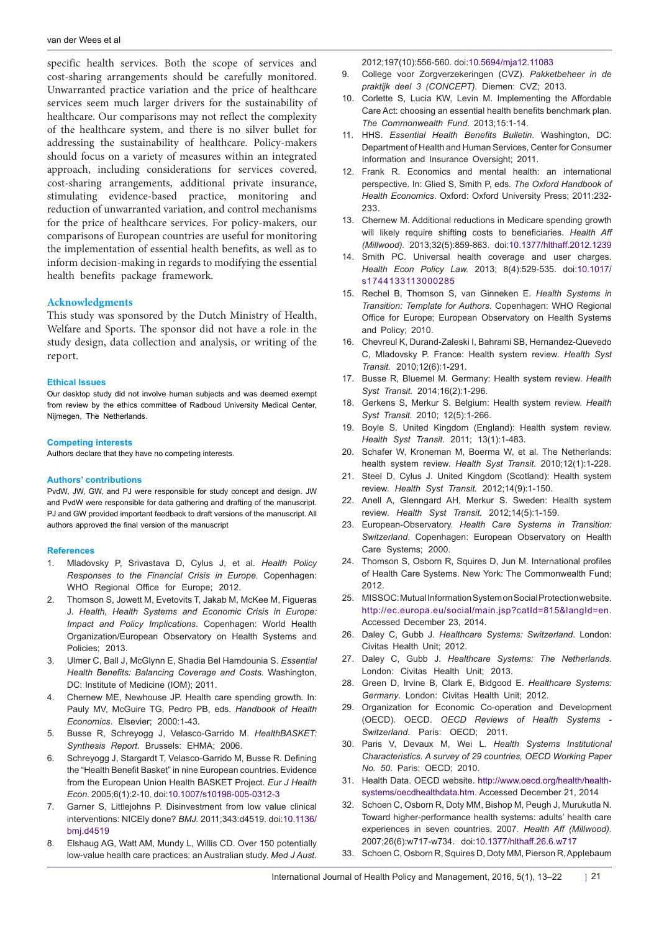specific health services. Both the scope of services and cost-sharing arrangements should be carefully monitored. Unwarranted practice variation and the price of healthcare services seem much larger drivers for the sustainability of healthcare. Our comparisons may not reflect the complexity of the healthcare system, and there is no silver bullet for addressing the sustainability of healthcare. Policy-makers should focus on a variety of measures within an integrated approach, including considerations for services covered, cost-sharing arrangements, additional private insurance, stimulating evidence-based practice, monitoring and reduction of unwarranted variation, and control mechanisms for the price of healthcare services. For policy-makers, our comparisons of European countries are useful for monitoring the implementation of essential health benefits, as well as to inform decision-making in regards to modifying the essential health benefits package framework.

## **Acknowledgments**

This study was sponsored by the Dutch Ministry of Health, Welfare and Sports. The sponsor did not have a role in the study design, data collection and analysis, or writing of the report.

#### **Ethical Issues**

Our desktop study did not involve human subjects and was deemed exempt from review by the ethics committee of Radboud University Medical Center, Nijmegen, The Netherlands.

#### **Competing interests**

Authors declare that they have no competing interests.

#### **Authors' contributions**

PvdW, JW, GW, and PJ were responsible for study concept and design. JW and PvdW were responsible for data gathering and drafting of the manuscript. PJ and GW provided important feedback to draft versions of the manuscript. All authors approved the final version of the manuscript

#### **References**

- <span id="page-8-0"></span>1. Mladovsky P, Srivastava D, Cylus J, et al. *Health Policy Responses to the Financial Crisis in Europe.* Copenhagen: WHO Regional Office for Europe; 2012.
- <span id="page-8-1"></span>2. Thomson S, Jowett M, Evetovits T, Jakab M, McKee M, Figueras J. *Health, Health Systems and Economic Crisis in Europe: Impact and Policy Implications*. Copenhagen: World Health Organization/European Observatory on Health Systems and Policies; 2013.
- <span id="page-8-2"></span>3. Ulmer C, Ball J, McGlynn E, Shadia Bel Hamdounia S. *Essential Health Benefits: Balancing Coverage and Costs.* Washington, DC: Institute of Medicine (IOM); 2011.
- <span id="page-8-3"></span>4. Chernew ME, Newhouse JP. Health care spending growth*.* In: Pauly MV, McGuire TG, Pedro PB, eds. *Handbook of Health Economics*. Elsevier; 2000:1-43.
- <span id="page-8-4"></span>5. Busse R, Schreyogg J, Velasco-Garrido M. *HealthBASKET: Synthesis Report*. Brussels: EHMA; 2006.
- <span id="page-8-5"></span>6. Schreyogg J, Stargardt T, Velasco-Garrido M, Busse R. Defining the "Health Benefit Basket" in nine European countries. Evidence from the European Union Health BASKET Project. *Eur J Health Econ.* 2005;6(1):2-10. doi:[10.1007/s10198-005-0312-3](http://dx.doi.org/10.1007/s10198-005-0312-3)
- <span id="page-8-6"></span>7. Garner S, Littlejohns P. Disinvestment from low value clinical interventions: NICEly done? *BMJ.* 2011;343:d4519. doi:[10.1136/](http://dx.doi.org/10.1136/bmj.d4519) [bmj.d4519](http://dx.doi.org/10.1136/bmj.d4519)
- <span id="page-8-7"></span>8. Elshaug AG, Watt AM, Mundy L, Willis CD. Over 150 potentially low-value health care practices: an Australian study. *Med J Aust.*

<span id="page-8-8"></span>2012;197(10):556-560. doi[:10.5694/mja12.11083](http://dx.doi.org/10.5694/mja12.11083)

- 9. College voor Zorgverzekeringen (CVZ). *Pakketbeheer in de praktijk deel 3 (CONCEPT).* Diemen: CVZ; 2013.
- <span id="page-8-9"></span>10. Corlette S, Lucia KW, Levin M. Implementing the Affordable Care Act: choosing an essential health benefits benchmark plan. *The Commonwealth Fund.* 2013;15:1-14.
- <span id="page-8-10"></span>11. HHS. *Essential Health Benefits Bulletin*. Washington, DC: Department of Health and Human Services, Center for Consumer Information and Insurance Oversight; 2011.
- <span id="page-8-11"></span>12. Frank R. Economics and mental health: an international perspective. In: Glied S, Smith P, eds. *The Oxford Handbook of Health Economics*. Oxford: Oxford University Press; 2011:232- 233.
- <span id="page-8-12"></span>13. Chernew M. Additional reductions in Medicare spending growth will likely require shifting costs to beneficiaries. *Health Aff (Millwood).* 2013;32(5):859-863. doi:[10.1377/hlthaff.2012.1239](http://dx.doi.org/10.1377/hlthaff.2012.1239)
- <span id="page-8-13"></span>14. Smith PC. Universal health coverage and user charges. *Health Econ Policy Law.* 2013; 8(4):529-535. doi:[10.1017/](http://dx.doi.org/10.1017/s1744133113000285) [s1744133113000285](http://dx.doi.org/10.1017/s1744133113000285)
- <span id="page-8-14"></span>15. Rechel B, Thomson S, van Ginneken E. *Health Systems in Transition: Template for Authors*. Copenhagen: WHO Regional Office for Europe; European Observatory on Health Systems and Policy; 2010.
- <span id="page-8-15"></span>16. Chevreul K, Durand-Zaleski I, Bahrami SB, Hernandez-Quevedo C, Mladovsky P. France: Health system review. *Health Syst Transit.* 2010;12(6):1-291.
- 17. Busse R, Bluemel M. Germany: Health system review. *Health Syst Transit.* 2014;16(2):1-296.
- 18. Gerkens S, Merkur S. Belgium: Health system review. *Health Syst Transit.* 2010; 12(5):1-266.
- 19. Boyle S. United Kingdom (England): Health system review. *Health Syst Transit.* 2011; 13(1):1-483.
- 20. Schafer W, Kroneman M, Boerma W, et al. The Netherlands: health system review. *Health Syst Transit.* 2010;12(1):1-228.
- 21. Steel D, Cylus J. United Kingdom (Scotland): Health system review. *Health Syst Transit.* 2012;14(9):1-150.
- 22. Anell A, Glenngard AH, Merkur S. Sweden: Health system review. *Health Syst Transit.* 2012;14(5):1-159.
- <span id="page-8-16"></span>23. European-Observatory. *Health Care Systems in Transition: Switzerland*. Copenhagen: European Observatory on Health Care Systems; 2000.
- <span id="page-8-17"></span>24. Thomson S, Osborn R, Squires D, Jun M. International profiles of Health Care Systems. New York: The Commonwealth Fund; 2012.
- <span id="page-8-18"></span>25. MISSOC: Mutual Information System on Social Protection website. [http://ec.europa.eu/social/main.jsp?catId=815&langId=en.](http://ec.europa.eu/social/main.jsp?catId=815&langId=en) Accessed December 23, 2014.
- <span id="page-8-19"></span>26. Daley C, Gubb J. *Healthcare Systems: Switzerland*. London: Civitas Health Unit; 2012.
- 27. Daley C, Gubb J. *Healthcare Systems: The Netherlands*. London: Civitas Health Unit; 2013.
- <span id="page-8-20"></span>28. Green D, Irvine B, Clark E, Bidgood E. *Healthcare Systems: Germany*. London: Civitas Health Unit; 2012.
- <span id="page-8-21"></span>29. Organization for Economic Co-operation and Development (OECD). OECD. *OECD Reviews of Health Systems - Switzerland*. Paris: OECD; 2011.
- <span id="page-8-22"></span>30. Paris V, Devaux M, Wei L. *Health Systems Institutional Characteristics. A survey of 29 countries, OECD Working Paper No. 50*. Paris: OECD; 2010.
- <span id="page-8-23"></span>31. Health Data. OECD website. [http://www.oecd.org/health/health](http://www.oecd.org/health/health-systems/oecdhealthdata.htm)[systems/oecdhealthdata.htm.](http://www.oecd.org/health/health-systems/oecdhealthdata.htm) Accessed December 21, 2014
- <span id="page-8-24"></span>32. Schoen C, Osborn R, Doty MM, Bishop M, Peugh J, Murukutla N. Toward higher-performance health systems: adults' health care experiences in seven countries, 2007. *Health Aff (Millwood).*  2007;26(6):w717-w734. doi:[10.1377/hlthaff.26.6.w717](http://dx.doi.org/10.1017/s1744133113000285)
- 33. Schoen C, Osborn R, Squires D, Doty MM, Pierson R, Applebaum